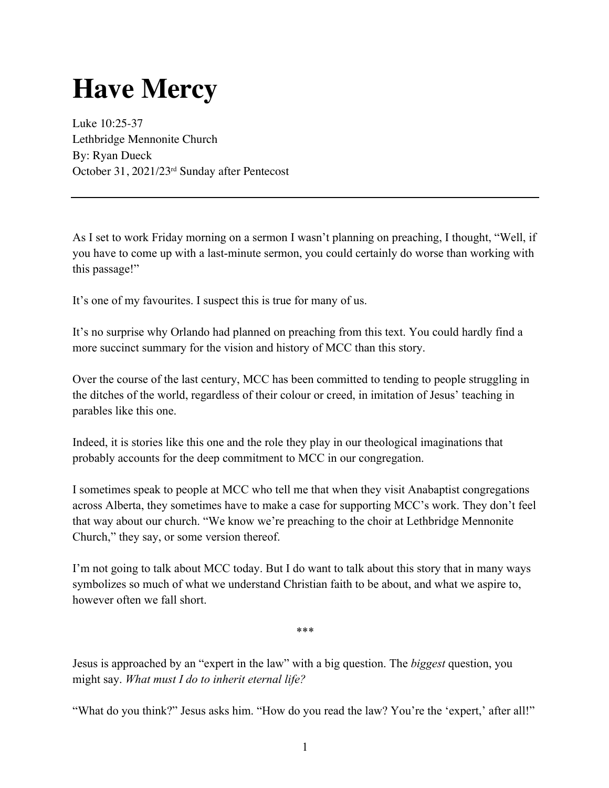## **Have Mercy**

Luke 10:25-37 Lethbridge Mennonite Church By: Ryan Dueck October 31, 2021/23rd Sunday after Pentecost

As I set to work Friday morning on a sermon I wasn't planning on preaching, I thought, "Well, if you have to come up with a last-minute sermon, you could certainly do worse than working with this passage!"

It's one of my favourites. I suspect this is true for many of us.

It's no surprise why Orlando had planned on preaching from this text. You could hardly find a more succinct summary for the vision and history of MCC than this story.

Over the course of the last century, MCC has been committed to tending to people struggling in the ditches of the world, regardless of their colour or creed, in imitation of Jesus' teaching in parables like this one.

Indeed, it is stories like this one and the role they play in our theological imaginations that probably accounts for the deep commitment to MCC in our congregation.

I sometimes speak to people at MCC who tell me that when they visit Anabaptist congregations across Alberta, they sometimes have to make a case for supporting MCC's work. They don't feel that way about our church. "We know we're preaching to the choir at Lethbridge Mennonite Church," they say, or some version thereof.

I'm not going to talk about MCC today. But I do want to talk about this story that in many ways symbolizes so much of what we understand Christian faith to be about, and what we aspire to, however often we fall short.

\*\*\*

Jesus is approached by an "expert in the law" with a big question. The *biggest* question, you might say. *What must I do to inherit eternal life?* 

"What do you think?" Jesus asks him. "How do you read the law? You're the 'expert,' after all!"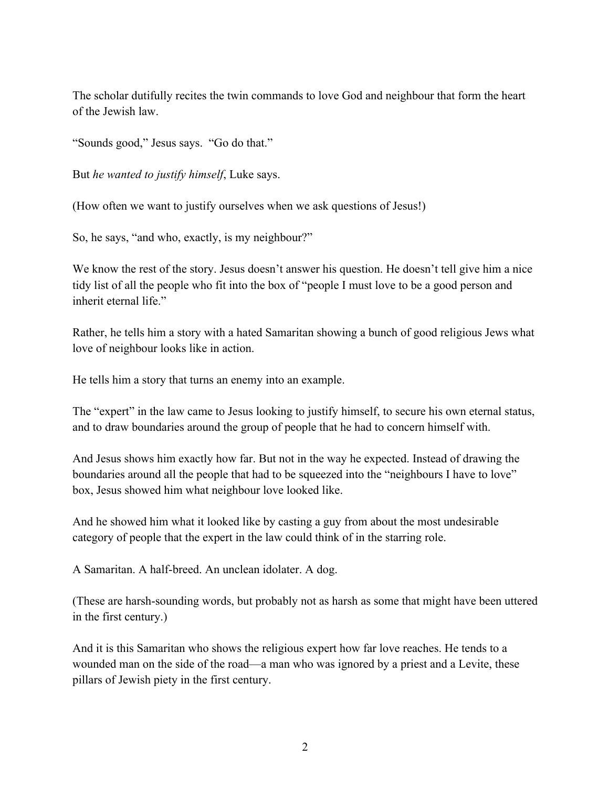The scholar dutifully recites the twin commands to love God and neighbour that form the heart of the Jewish law.

"Sounds good," Jesus says. "Go do that."

But *he wanted to justify himself*, Luke says.

(How often we want to justify ourselves when we ask questions of Jesus!)

So, he says, "and who, exactly, is my neighbour?"

We know the rest of the story. Jesus doesn't answer his question. He doesn't tell give him a nice tidy list of all the people who fit into the box of "people I must love to be a good person and inherit eternal life."

Rather, he tells him a story with a hated Samaritan showing a bunch of good religious Jews what love of neighbour looks like in action.

He tells him a story that turns an enemy into an example.

The "expert" in the law came to Jesus looking to justify himself, to secure his own eternal status, and to draw boundaries around the group of people that he had to concern himself with.

And Jesus shows him exactly how far. But not in the way he expected. Instead of drawing the boundaries around all the people that had to be squeezed into the "neighbours I have to love" box, Jesus showed him what neighbour love looked like.

And he showed him what it looked like by casting a guy from about the most undesirable category of people that the expert in the law could think of in the starring role.

A Samaritan. A half-breed. An unclean idolater. A dog.

(These are harsh-sounding words, but probably not as harsh as some that might have been uttered in the first century.)

And it is this Samaritan who shows the religious expert how far love reaches. He tends to a wounded man on the side of the road—a man who was ignored by a priest and a Levite, these pillars of Jewish piety in the first century.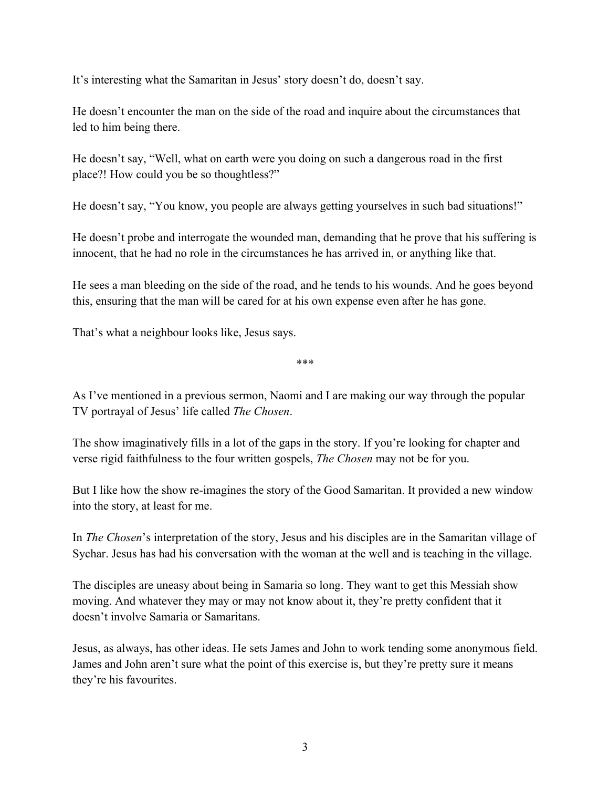It's interesting what the Samaritan in Jesus' story doesn't do, doesn't say.

He doesn't encounter the man on the side of the road and inquire about the circumstances that led to him being there.

He doesn't say, "Well, what on earth were you doing on such a dangerous road in the first place?! How could you be so thoughtless?"

He doesn't say, "You know, you people are always getting yourselves in such bad situations!"

He doesn't probe and interrogate the wounded man, demanding that he prove that his suffering is innocent, that he had no role in the circumstances he has arrived in, or anything like that.

He sees a man bleeding on the side of the road, and he tends to his wounds. And he goes beyond this, ensuring that the man will be cared for at his own expense even after he has gone.

That's what a neighbour looks like, Jesus says.

\*\*\*

As I've mentioned in a previous sermon, Naomi and I are making our way through the popular TV portrayal of Jesus' life called *The Chosen*.

The show imaginatively fills in a lot of the gaps in the story. If you're looking for chapter and verse rigid faithfulness to the four written gospels, *The Chosen* may not be for you.

But I like how the show re-imagines the story of the Good Samaritan. It provided a new window into the story, at least for me.

In *The Chosen*'s interpretation of the story, Jesus and his disciples are in the Samaritan village of Sychar. Jesus has had his conversation with the woman at the well and is teaching in the village.

The disciples are uneasy about being in Samaria so long. They want to get this Messiah show moving. And whatever they may or may not know about it, they're pretty confident that it doesn't involve Samaria or Samaritans.

Jesus, as always, has other ideas. He sets James and John to work tending some anonymous field. James and John aren't sure what the point of this exercise is, but they're pretty sure it means they're his favourites.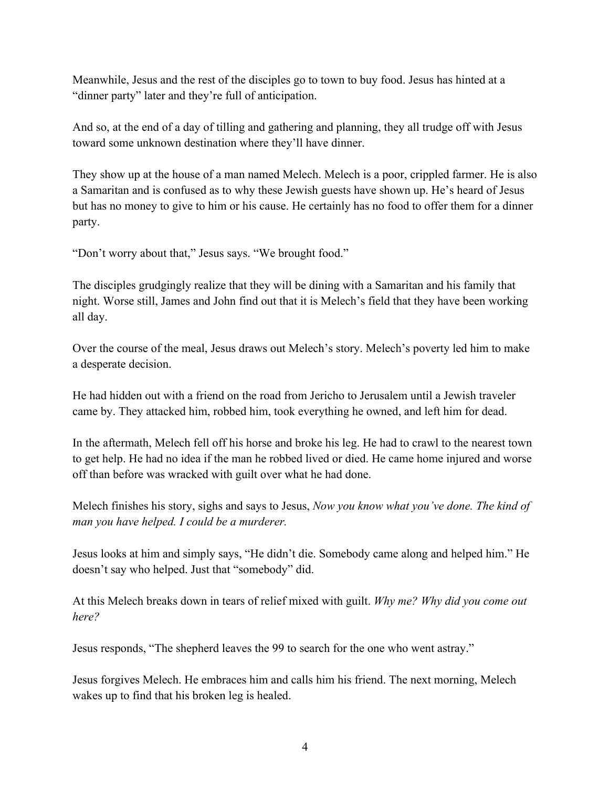Meanwhile, Jesus and the rest of the disciples go to town to buy food. Jesus has hinted at a "dinner party" later and they're full of anticipation.

And so, at the end of a day of tilling and gathering and planning, they all trudge off with Jesus toward some unknown destination where they'll have dinner.

They show up at the house of a man named Melech. Melech is a poor, crippled farmer. He is also a Samaritan and is confused as to why these Jewish guests have shown up. He's heard of Jesus but has no money to give to him or his cause. He certainly has no food to offer them for a dinner party.

"Don't worry about that," Jesus says. "We brought food."

The disciples grudgingly realize that they will be dining with a Samaritan and his family that night. Worse still, James and John find out that it is Melech's field that they have been working all day.

Over the course of the meal, Jesus draws out Melech's story. Melech's poverty led him to make a desperate decision.

He had hidden out with a friend on the road from Jericho to Jerusalem until a Jewish traveler came by. They attacked him, robbed him, took everything he owned, and left him for dead.

In the aftermath, Melech fell off his horse and broke his leg. He had to crawl to the nearest town to get help. He had no idea if the man he robbed lived or died. He came home injured and worse off than before was wracked with guilt over what he had done.

Melech finishes his story, sighs and says to Jesus, *Now you know what you've done. The kind of man you have helped. I could be a murderer.*

Jesus looks at him and simply says, "He didn't die. Somebody came along and helped him." He doesn't say who helped. Just that "somebody" did.

At this Melech breaks down in tears of relief mixed with guilt. *Why me? Why did you come out here?* 

Jesus responds, "The shepherd leaves the 99 to search for the one who went astray."

Jesus forgives Melech. He embraces him and calls him his friend. The next morning, Melech wakes up to find that his broken leg is healed.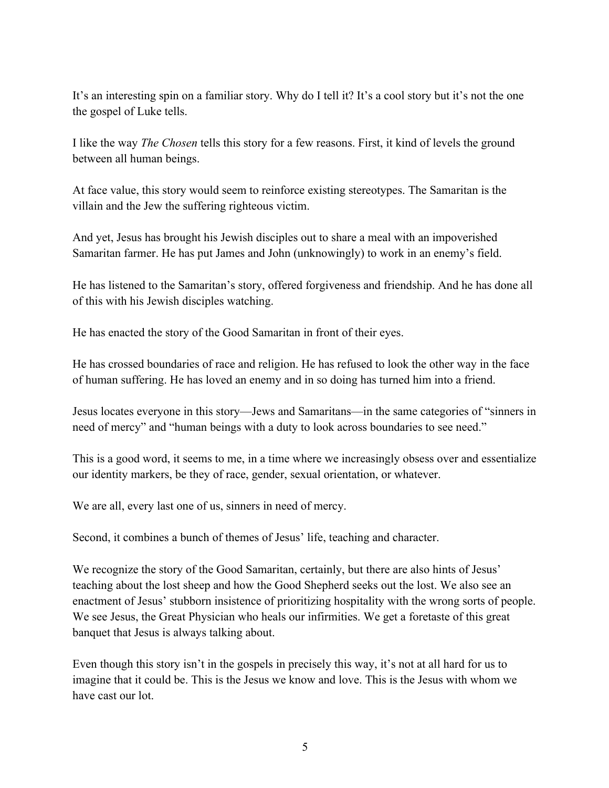It's an interesting spin on a familiar story. Why do I tell it? It's a cool story but it's not the one the gospel of Luke tells.

I like the way *The Chosen* tells this story for a few reasons. First, it kind of levels the ground between all human beings.

At face value, this story would seem to reinforce existing stereotypes. The Samaritan is the villain and the Jew the suffering righteous victim.

And yet, Jesus has brought his Jewish disciples out to share a meal with an impoverished Samaritan farmer. He has put James and John (unknowingly) to work in an enemy's field.

He has listened to the Samaritan's story, offered forgiveness and friendship. And he has done all of this with his Jewish disciples watching.

He has enacted the story of the Good Samaritan in front of their eyes.

He has crossed boundaries of race and religion. He has refused to look the other way in the face of human suffering. He has loved an enemy and in so doing has turned him into a friend.

Jesus locates everyone in this story—Jews and Samaritans—in the same categories of "sinners in need of mercy" and "human beings with a duty to look across boundaries to see need."

This is a good word, it seems to me, in a time where we increasingly obsess over and essentialize our identity markers, be they of race, gender, sexual orientation, or whatever.

We are all, every last one of us, sinners in need of mercy.

Second, it combines a bunch of themes of Jesus' life, teaching and character.

We recognize the story of the Good Samaritan, certainly, but there are also hints of Jesus' teaching about the lost sheep and how the Good Shepherd seeks out the lost. We also see an enactment of Jesus' stubborn insistence of prioritizing hospitality with the wrong sorts of people. We see Jesus, the Great Physician who heals our infirmities. We get a foretaste of this great banquet that Jesus is always talking about.

Even though this story isn't in the gospels in precisely this way, it's not at all hard for us to imagine that it could be. This is the Jesus we know and love. This is the Jesus with whom we have cast our lot.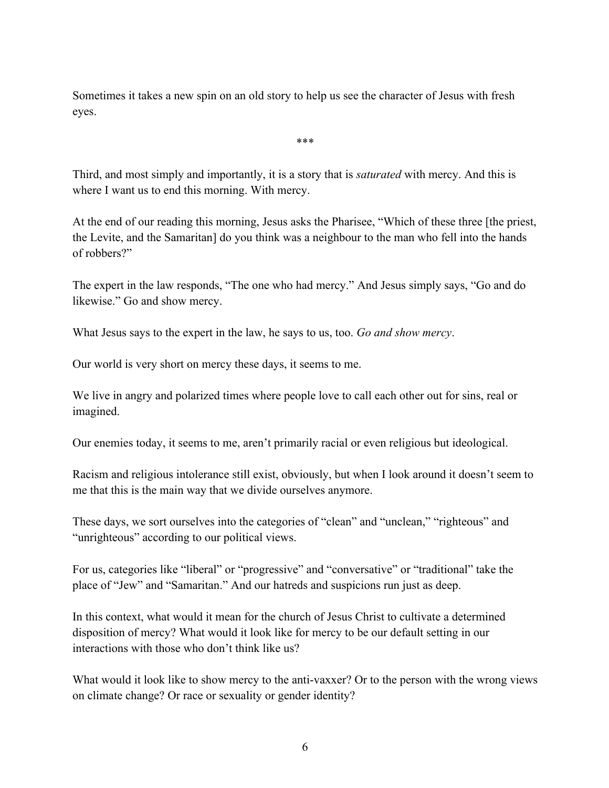Sometimes it takes a new spin on an old story to help us see the character of Jesus with fresh eyes.

\*\*\*

Third, and most simply and importantly, it is a story that is *saturated* with mercy. And this is where I want us to end this morning. With mercy.

At the end of our reading this morning, Jesus asks the Pharisee, "Which of these three [the priest, the Levite, and the Samaritan] do you think was a neighbour to the man who fell into the hands of robbers?"

The expert in the law responds, "The one who had mercy." And Jesus simply says, "Go and do likewise." Go and show mercy.

What Jesus says to the expert in the law, he says to us, too. *Go and show mercy*.

Our world is very short on mercy these days, it seems to me.

We live in angry and polarized times where people love to call each other out for sins, real or imagined.

Our enemies today, it seems to me, aren't primarily racial or even religious but ideological.

Racism and religious intolerance still exist, obviously, but when I look around it doesn't seem to me that this is the main way that we divide ourselves anymore.

These days, we sort ourselves into the categories of "clean" and "unclean," "righteous" and "unrighteous" according to our political views.

For us, categories like "liberal" or "progressive" and "conversative" or "traditional" take the place of "Jew" and "Samaritan." And our hatreds and suspicions run just as deep.

In this context, what would it mean for the church of Jesus Christ to cultivate a determined disposition of mercy? What would it look like for mercy to be our default setting in our interactions with those who don't think like us?

What would it look like to show mercy to the anti-vaxxer? Or to the person with the wrong views on climate change? Or race or sexuality or gender identity?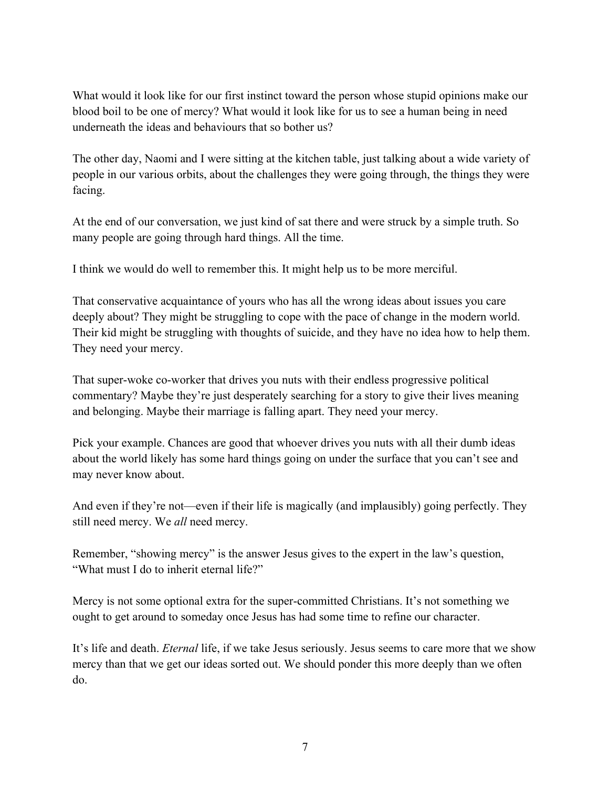What would it look like for our first instinct toward the person whose stupid opinions make our blood boil to be one of mercy? What would it look like for us to see a human being in need underneath the ideas and behaviours that so bother us?

The other day, Naomi and I were sitting at the kitchen table, just talking about a wide variety of people in our various orbits, about the challenges they were going through, the things they were facing.

At the end of our conversation, we just kind of sat there and were struck by a simple truth. So many people are going through hard things. All the time.

I think we would do well to remember this. It might help us to be more merciful.

That conservative acquaintance of yours who has all the wrong ideas about issues you care deeply about? They might be struggling to cope with the pace of change in the modern world. Their kid might be struggling with thoughts of suicide, and they have no idea how to help them. They need your mercy.

That super-woke co-worker that drives you nuts with their endless progressive political commentary? Maybe they're just desperately searching for a story to give their lives meaning and belonging. Maybe their marriage is falling apart. They need your mercy.

Pick your example. Chances are good that whoever drives you nuts with all their dumb ideas about the world likely has some hard things going on under the surface that you can't see and may never know about.

And even if they're not—even if their life is magically (and implausibly) going perfectly. They still need mercy. We *all* need mercy.

Remember, "showing mercy" is the answer Jesus gives to the expert in the law's question, "What must I do to inherit eternal life?"

Mercy is not some optional extra for the super-committed Christians. It's not something we ought to get around to someday once Jesus has had some time to refine our character.

It's life and death. *Eternal* life, if we take Jesus seriously. Jesus seems to care more that we show mercy than that we get our ideas sorted out. We should ponder this more deeply than we often do.